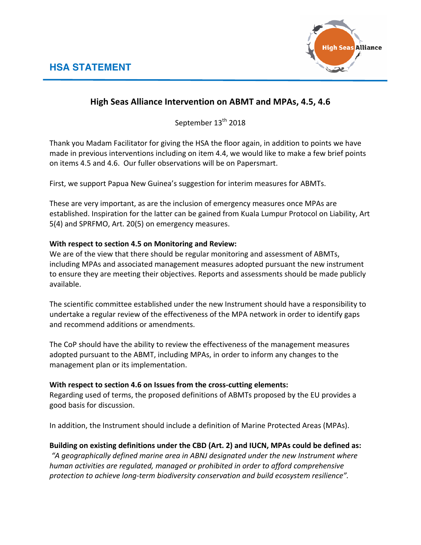

## **High Seas Alliance Intervention on ABMT and MPAs, 4.5, 4.6**

September 13<sup>th</sup> 2018

Thank you Madam Facilitator for giving the HSA the floor again, in addition to points we have made in previous interventions including on item 4.4, we would like to make a few brief points on items 4.5 and 4.6. Our fuller observations will be on Papersmart.

First, we support Papua New Guinea's suggestion for interim measures for ABMTs.

These are very important, as are the inclusion of emergency measures once MPAs are established. Inspiration for the latter can be gained from Kuala Lumpur Protocol on Liability, Art 5(4) and SPRFMO, Art. 20(5) on emergency measures.

## **With respect to section 4.5 on Monitoring and Review:**

We are of the view that there should be regular monitoring and assessment of ABMTs, including MPAs and associated management measures adopted pursuant the new instrument to ensure they are meeting their objectives. Reports and assessments should be made publicly available.

The scientific committee established under the new Instrument should have a responsibility to undertake a regular review of the effectiveness of the MPA network in order to identify gaps and recommend additions or amendments.

The CoP should have the ability to review the effectiveness of the management measures adopted pursuant to the ABMT, including MPAs, in order to inform any changes to the management plan or its implementation.

## With respect to section 4.6 on Issues from the cross-cutting elements:

Regarding used of terms, the proposed definitions of ABMTs proposed by the EU provides a good basis for discussion.

In addition, the Instrument should include a definition of Marine Protected Areas (MPAs).

## Building on existing definitions under the CBD (Art. 2) and IUCN, MPAs could be defined as:

"A geographically defined marine area in ABNJ designated under the new Instrument where *human activities are regulated, managed or prohibited in order to afford comprehensive protection to achieve long-term biodiversity conservation and build ecosystem resilience".*